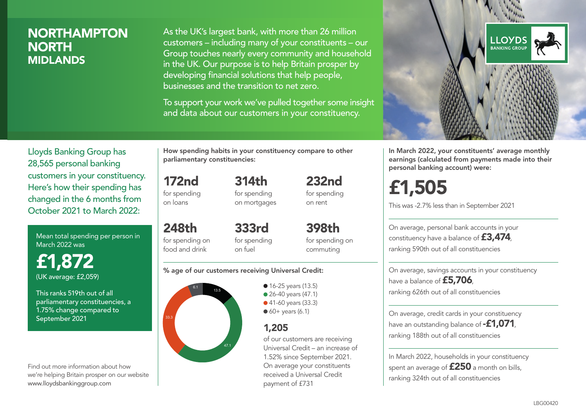# NORTHAMPTON **NORTH** MIDLANDS

As the UK's largest bank, with more than 26 million customers – including many of your constituents – our Group touches nearly every community and household in the UK. Our purpose is to help Britain prosper by developing financial solutions that help people, businesses and the transition to net zero.

To support your work we've pulled together some insight and data about our customers in your constituency.



Mean total spending per person in March 2022 was

£1,872 (UK average: £2,059)

This ranks 519th out of all parliamentary constituencies, a 1.75% change compared to September 2021

Find out more information about how we're helping Britain prosper on our website www.lloydsbankinggroup.com

How spending habits in your constituency compare to other parliamentary constituencies:

> 314th for spending

172nd for spending on loans

on mortgages

248th for spending on food and drink 333rd for spending on fuel

for spending on commuting

398th

232nd for spending on rent

#### % age of our customers receiving Universal Credit:



• 16-25 years (13.5) ● 26-40 years (47.1) ● 41-60 years (33.3)  $60+$  years (6.1)

# 1,205

of our customers are receiving Universal Credit – an increase of 1.52% since September 2021. On average your constituents received a Universal Credit payment of £731



In March 2022, your constituents' average monthly earnings (calculated from payments made into their personal banking account) were:

# £1,505

This was -2.7% less than in September 2021

On average, personal bank accounts in your constituency have a balance of £3,474, ranking 590th out of all constituencies

On average, savings accounts in your constituency have a balance of £5,706, ranking 626th out of all constituencies

On average, credit cards in your constituency have an outstanding balance of  $-$ £1,071 ranking 188th out of all constituencies

In March 2022, households in your constituency spent an average of  $£250$  a month on bills, ranking 324th out of all constituencies